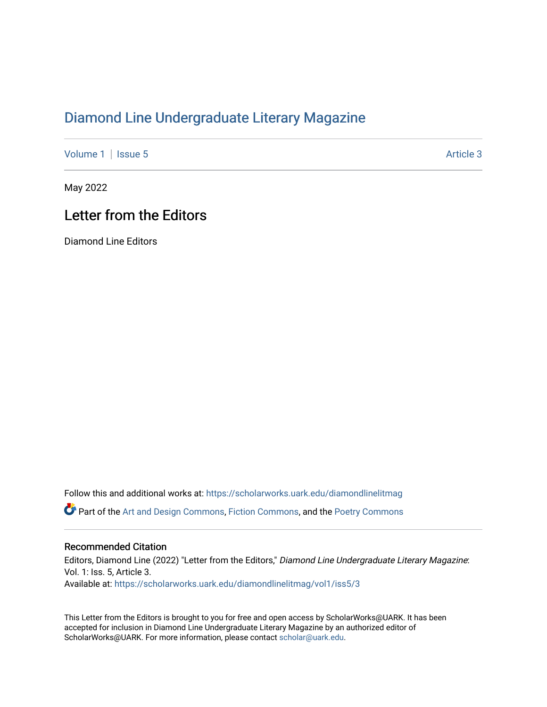## [Diamond Line Undergraduate Literary Magazine](https://scholarworks.uark.edu/diamondlinelitmag)

[Volume 1](https://scholarworks.uark.edu/diamondlinelitmag/vol1) | [Issue 5](https://scholarworks.uark.edu/diamondlinelitmag/vol1/iss5) Article 3

May 2022

## Letter from the Editors

Diamond Line Editors

Follow this and additional works at: [https://scholarworks.uark.edu/diamondlinelitmag](https://scholarworks.uark.edu/diamondlinelitmag?utm_source=scholarworks.uark.edu%2Fdiamondlinelitmag%2Fvol1%2Fiss5%2F3&utm_medium=PDF&utm_campaign=PDFCoverPages)  **C** Part of the [Art and Design Commons](http://network.bepress.com/hgg/discipline/1049?utm_source=scholarworks.uark.edu%2Fdiamondlinelitmag%2Fvol1%2Fiss5%2F3&utm_medium=PDF&utm_campaign=PDFCoverPages), [Fiction Commons](http://network.bepress.com/hgg/discipline/1151?utm_source=scholarworks.uark.edu%2Fdiamondlinelitmag%2Fvol1%2Fiss5%2F3&utm_medium=PDF&utm_campaign=PDFCoverPages), and the Poetry Commons

## Recommended Citation

Editors, Diamond Line (2022) "Letter from the Editors," Diamond Line Undergraduate Literary Magazine: Vol. 1: Iss. 5, Article 3. Available at: [https://scholarworks.uark.edu/diamondlinelitmag/vol1/iss5/3](https://scholarworks.uark.edu/diamondlinelitmag/vol1/iss5/3?utm_source=scholarworks.uark.edu%2Fdiamondlinelitmag%2Fvol1%2Fiss5%2F3&utm_medium=PDF&utm_campaign=PDFCoverPages)

This Letter from the Editors is brought to you for free and open access by ScholarWorks@UARK. It has been accepted for inclusion in Diamond Line Undergraduate Literary Magazine by an authorized editor of ScholarWorks@UARK. For more information, please contact [scholar@uark.edu](mailto:scholar@uark.edu).